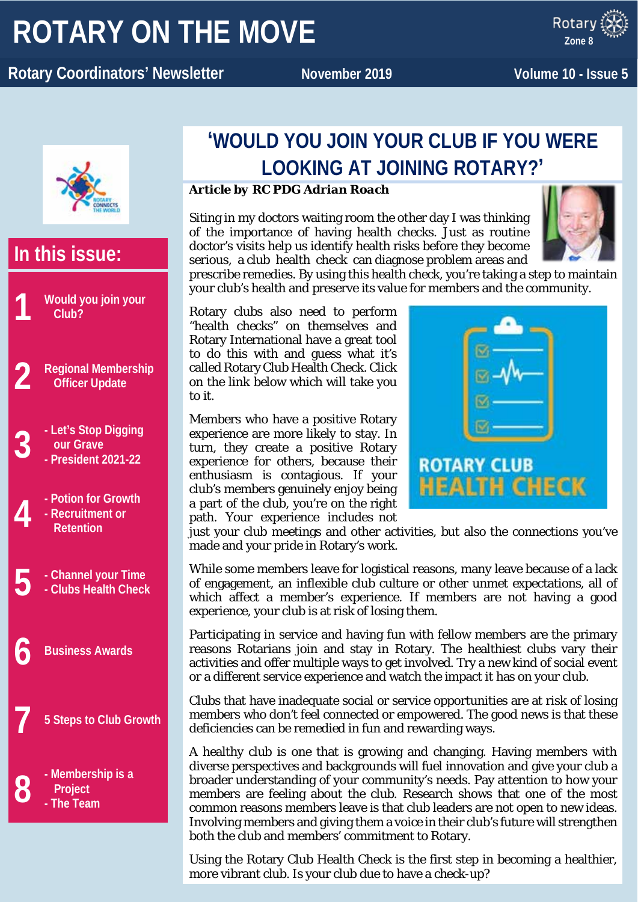# **ROTARY ON THE MOVE**

x ROTARY **Rotary Coordinators' Newsletter November** 2019 **Volume 10 - Issue 5** 

**Zone 8**



## **In this issue: 1 Would you join your Club? 2 Regional Membership Officer Update 3 - Let's Stop Digging our Grave - President 2021-22 4 - Potion for Growth - Recruitment or Retention 5 - Channel your Time - Clubs Health Check 6 Business Awards 7 5 Steps to Club Growth 8 - Membership is a Project - The Team**

### **'WOULD YOU JOIN YOUR CLUB IF YOU WERE LOOKING AT JOINING ROTARY?'**

### *Article by RC PDG Adrian Roach*

Siting in my doctors waiting room the other day I was thinking of the importance of having health checks. Just as routine doctor's visits help us identify health risks before they become serious, a club health check can diagnose problem areas and



prescribe remedies. By using this health check, you're taking a step to maintain your club's health and preserve its value for members and the community.

Rotary clubs also need to perform "health checks" on themselves and Rotary International have a great tool to do this with and guess what it's called Rotary Club Health Check. Click on the link below which will take you to it.

Members who have a positive Rotary experience are more likely to stay. In turn, they create a positive Rotary experience for others, because their enthusiasm is contagious. If your club's members genuinely enjoy being a part of the club, you're on the right path. Your experience includes not



just your club meetings and other activities, but also the connections you've made and your pride in Rotary's work.

While some members leave for logistical reasons, many leave because of a lack of engagement, an inflexible club culture or other unmet expectations, all of which affect a member's experience. If members are not having a good experience, your club is at risk of losing them.

Participating in service and having fun with fellow members are the primary reasons Rotarians join and stay in Rotary. The healthiest clubs vary their activities and offer multiple ways to get involved. Try a new kind of social event or a different service experience and watch the impact it has on your club.

Clubs that have inadequate social or service opportunities are at risk of losing members who don't feel connected or empowered. The good news is that these deficiencies can be remedied in fun and rewarding ways.

A healthy club is one that is growing and changing. Having members with diverse perspectives and backgrounds will fuel innovation and give your club a broader understanding of your community's needs. Pay attention to how your members are feeling about the club. Research shows that one of the most common reasons members leave is that club leaders are not open to new ideas. Involving members and giving them a voice in their club's future will strengthen both the club and members' commitment to Rotary.

Using the Rotary Club Health Check is the first step in becoming a healthier, more vibrant club. Is your club due to have a check-up?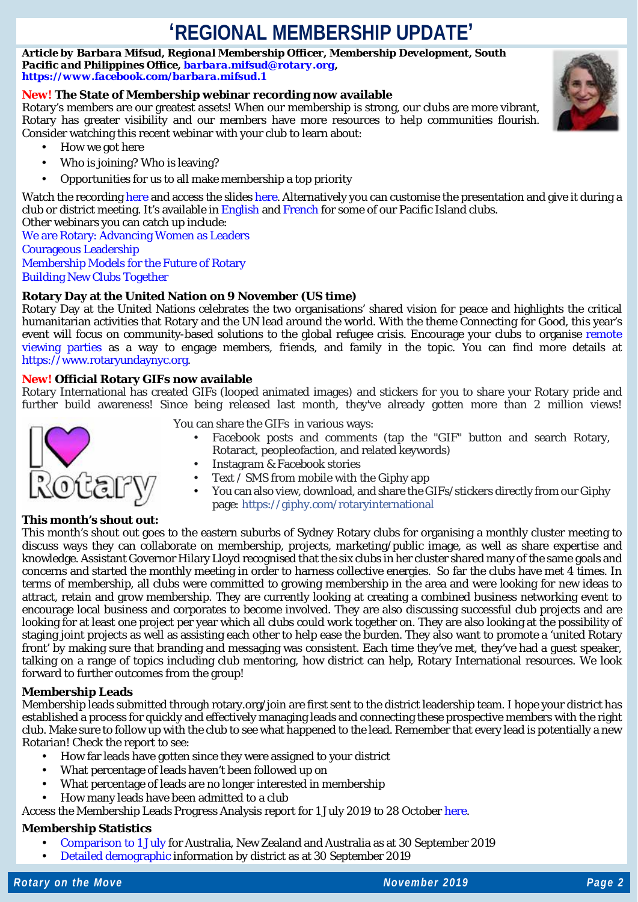### **'REGIONAL MEMBERSHIP UPDATE'**

*Article by Barbara Mifsud, Regional Membership Officer, Membership Development, South Pacific and Philippines Office, [barbara.mifsud@rotary.org,](mailto:barbara.mifsud@rotary.org) <https://www.facebook.com/barbara.mifsud.1>*

#### **New! The State of Membership webinar recording now available**

Rotary's members are our greatest assets! When our membership is strong, our clubs are more vibrant, Rotary has greater visibility and our members have more resources to help communities flourish. Consider watching this recent webinar with your club to learn about:

- How we got here
- Who is joining? Who is leaving?
- Opportunities for us to all make membership a top priority

Watch the recordin[g here](https://vimeo.com/channels/rotarymembership/368648186) and access the slide[s here.](https://www.slideshare.net/Rotary_International/state-of-membership) Alternatively you can customise the presentation and give it during a club or district meeting. It's available in [English](https://my.rotary.org/en/document/state-membership-presentation-july) and [French](https://my.rotary.org/fr/document/state-membership-presentation-july) for some of our Pacific Island clubs. Other webinars you can catch up include:

[We are Rotary: Advancing Women as Leaders](https://vimeo.com/channels/rotarymembership/356519514) [Courageous Leadership](https://vimeo.com/channels/rotarymembership/327063526) [Membership Models for the Future of Rotary](https://vimeo.com/channels/rotarymembership/304737887) [Building New Clubs Together](https://vimeo.com/channels/rotarymembership/284246603)

#### **Rotary Day at the United Nation on 9 November (US time)**

Rotary Day at the United Nations celebrates the two organisations' shared vision for peace and highlights the critical humanitarian activities that Rotary and the UN lead around the world. With the theme *Connecting for Good*, this year's event will focus on community-based solutions to the global refugee crisis. Encourage your clubs to organise remote [viewing parties](http://webtv.un.org/) as a way to engage members, friends, and family in the topic. You can find more details at [https://www.rotaryundaynyc.org.](https://www.rotaryundaynyc.org/)

#### **New! Official Rotary GIFs now available**

Rotary International has created GIFs (looped animated images) and stickers for you to share your Rotary pride and further build awareness! Since being released last month, they've already gotten more than 2 million views!



You can share the GIFs in various ways:

- Facebook posts and comments (tap the "GIF" button and search Rotary, Rotaract, peopleofaction, and related keywords)
	- Instagram & Facebook stories
	- Text / SMS from mobile with the Giphy app
	- You can also view, download, and share the GIFs/stickers directly from our Giphy page: [https://giphy.com/rotaryinternational](https://giphy.com/rotaryinternational?fbclid=IwAR2XwQxBJEiIkTw80AwV1O12UmwK8RTTtaAPC2ZXWxSLkyMyhinw-WuETS0)

#### **This month's shout out:**

This month's shout out goes to the eastern suburbs of Sydney Rotary clubs for organising a monthly cluster meeting to discuss ways they can collaborate on membership, projects, marketing/public image, as well as share expertise and knowledge. Assistant Governor Hilary Lloyd recognised that the six clubs in her cluster shared many of the same goals and concerns and started the monthly meeting in order to harness collective energies. So far the clubs have met 4 times. In terms of membership, all clubs were committed to growing membership in the area and were looking for new ideas to attract, retain and grow membership. They are currently looking at creating a combined business networking event to encourage local business and corporates to become involved. They are also discussing successful club projects and are looking for at least one project per year which all clubs could work together on. They are also looking at the possibility of staging joint projects as well as assisting each other to help ease the burden. They also want to promote a 'united Rotary front' by making sure that branding and messaging was consistent. Each time they've met, they've had a guest speaker, talking on a range of topics including club mentoring, how district can help, Rotary International resources. We look forward to further outcomes from the group!

#### **Membership Leads**

Membership leads submitted through rotary.org/join are first sent to the district leadership team. I hope your district has established a process for quickly and effectively managing leads and connecting these prospective members with the right club. Make sure to follow up with the club to see what happened to the lead. Remember that every lead is potentially a new Rotarian! Check the report to see:

- How far leads have gotten since they were assigned to your district
- What percentage of leads haven't been followed up on
- What percentage of leads are no longer interested in membership
- How many leads have been admitted to a club

Access the Membership Leads Progress Analysis report for 1 July 2019 to 28 Octobe[r here.](https://www.dropbox.com/s/tlgfqk3rs6bc20j/20191028%20-%20RMO_Membership_Leads_Success_Report%20%20-%20Australia%2C%20New%20Zealand%20and%20Pacific%20Islands%20-%201%20July%202019%20to%2028%20October%202019.pdf?dl=0)

#### **Membership Statistics**

- [Comparison to 1 July](https://www.dropbox.com/s/uxdc09y3wg49syl/COMPARISON_TO_1_JULY%20%2854%29.pdf?dl=0) for Australia, New Zealand and Australia as at 30 September 2019
- [Detailed demographic](https://www.dropbox.com/s/gvqpwp7wickclji/DISTRICT_MEMBERSHIP_PROGRESS_TO_GOAL%20%2817%29.pdf?dl=0) information by district as at 30 September 2019

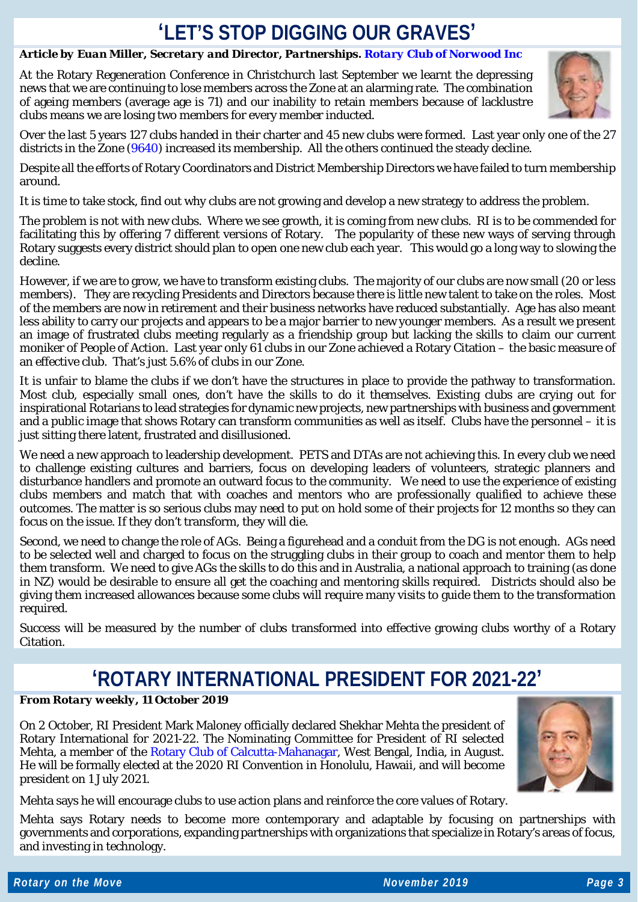### **'LET'S STOP DIGGING OUR GRAVES'**

### *Article by Euan Miller, Secretary and Director, Partnerships. [Rotary Club of Norwood Inc](http://rotarynorwood.org.au/)*

At the Rotary Regeneration Conference in Christchurch last September we learnt the depressing news that we are continuing to lose members across the Zone at an alarming rate. The combination of ageing members (average age is 71) and our inability to retain members because of lacklustre clubs means we are losing two members for every member inducted.



Over the last 5 years 127 clubs handed in their charter and 45 new clubs were formed. Last year only one of the 27 districts in the Zone [\(9640\)](https://www.rotary9640.org/) increased its membership. All the others continued the steady decline.

Despite all the efforts of Rotary Coordinators and District Membership Directors we have failed to turn membership around.

It is time to take stock, find out why clubs are not growing and develop a new strategy to address the problem.

The problem is not with new clubs. Where we see growth, it is coming from new clubs. RI is to be commended for facilitating this by offering 7 different versions of Rotary. The popularity of these new ways of serving through Rotary suggests every district should plan to open one new club each year. This would go a long way to slowing the decline.

However, if we are to grow, we have to transform existing clubs. The majority of our clubs are now small (20 or less members). They are recycling Presidents and Directors because there is little new talent to take on the roles. Most of the members are now in retirement and their business networks have reduced substantially. Age has also meant less ability to carry our projects and appears to be a major barrier to new younger members. As a result we present an image of frustrated clubs meeting regularly as a friendship group but lacking the skills to claim our current moniker of People of Action. Last year only 61 clubs in our Zone achieved a Rotary Citation – the basic measure of an effective club. That's just 5.6% of clubs in our Zone.

It is unfair to blame the clubs if we don't have the structures in place to provide the pathway to transformation. Most club, especially small ones, don't have the skills to do it themselves. Existing clubs are crying out for inspirational Rotarians to lead strategies for dynamic new projects, new partnerships with business and government and a public image that shows Rotary can transform communities as well as itself. Clubs have the personnel – it is just sitting there latent, frustrated and disillusioned.

We need a new approach to leadership development. PETS and DTAs are not achieving this. In every club we need to challenge existing cultures and barriers, focus on developing leaders of volunteers, strategic planners and disturbance handlers and promote an outward focus to the community. We need to use the experience of existing clubs members and match that with coaches and mentors who are professionally qualified to achieve these outcomes. The matter is so serious clubs may need to put on hold some of their projects for 12 months so they can focus on the issue. If they don't transform, they will die.

Second, we need to change the role of AGs. Being a figurehead and a conduit from the DG is not enough. AGs need to be selected well and charged to focus on the struggling clubs in their group to coach and mentor them to help them transform. We need to give AGs the skills to do this and in Australia, a national approach to training (as done in NZ) would be desirable to ensure all get the coaching and mentoring skills required. Districts should also be giving them increased allowances because some clubs will require many visits to guide them to the transformation required.

Success will be measured by the number of clubs transformed into effective growing clubs worthy of a Rotary Citation.

### **'ROTARY INTERNATIONAL PRESIDENT FOR 2021-22'**

### *From Rotary weekly, 11 October 2019*

On 2 October, RI President Mark Maloney officially declared Shekhar Mehta the president of Rotary International for 2021-22. The Nominating Committee for President of RI selected Mehta, a member of the [Rotary Club of Calcutta-Mahanagar,](http://www.rotarycalmahanagar.org.in/) West Bengal, India, in August. He will be formally elected at the 2020 RI Convention in Honolulu, Hawaii, and will become president on 1 July 2021.



Mehta says he will encourage clubs to use action plans and reinforce the core values of Rotary.

Mehta says Rotary needs to become more contemporary and adaptable by focusing on partnerships with governments and corporations, expanding partnerships with organizations that specialize in Rotary's areas of focus, and investing in technology.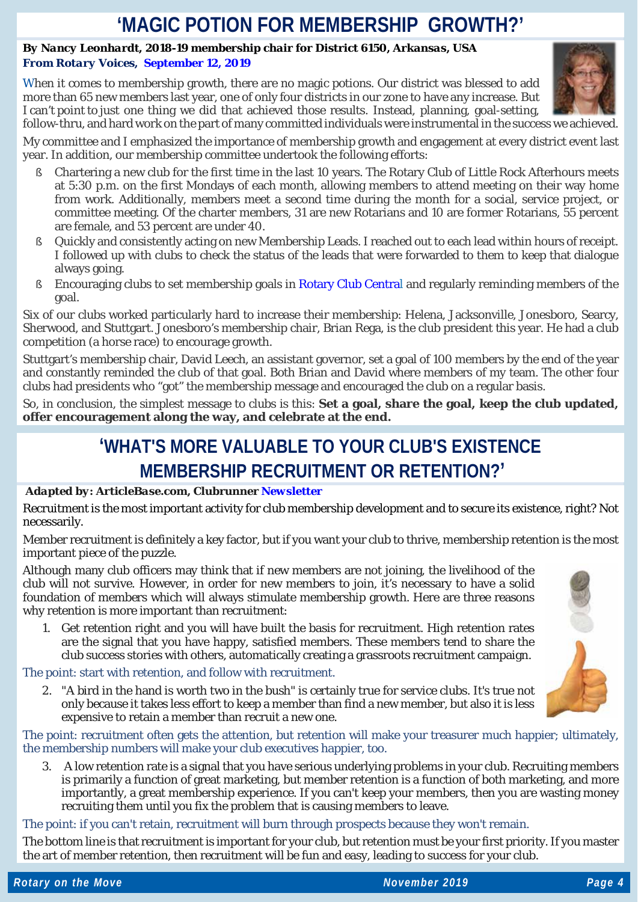### **'MAGIC POTION FOR MEMBERSHIP GROWTH?'**

### *By Nancy Leonhardt, 2018-19 membership chair for District 6150, Arkansas, USA From Rotary Voices, [September](https://blog.rotary.org/2019/09/12/magic-potion-for-membership-growth/) 12, 2019*

When it comes to membership growth, there are no magic potions. Our district was blessed to add more than 65 new members last year, one of only four districts in our zone to have any increase. But I can't point to just one thing we did that achieved those results. Instead, planning, goal-setting, follow-thru, and hard work on the part of many committed individuals were instrumental in the success we achieved.



My committee and I emphasized the importance of membership growth and engagement at every district event last year. In addition, our membership committee undertook the following efforts:

- § Chartering a new club for the first time in the last 10 years. The Rotary Club of Little Rock Afterhours meets at 5:30 p.m. on the first Mondays of each month, allowing members to attend meeting on their way home from work. Additionally, members meet a second time during the month for a social, service project, or committee meeting. Of the charter members, 31 are new Rotarians and 10 are former Rotarians, 55 percent are female, and 53 percent are under 40.
- § Quickly and consistently acting on new Membership Leads. I reached out to each lead within hours of receipt. I followed up with clubs to check the status of the leads that were forwarded to them to keep that dialogue always going.
- § Encouraging clubs to set membership goals in Rotary Club [Central](https://my.rotary.org/en/user/login?destination=/secure/application/341) and regularly reminding members of the goal.

Six of our clubs worked particularly hard to increase their membership: Helena, Jacksonville, Jonesboro, Searcy, Sherwood, and Stuttgart. Jonesboro's membership chair, Brian Rega, is the club president this year. He had a club competition (a horse race) to encourage growth.

Stuttgart's membership chair, David Leech, an assistant governor, set a goal of 100 members by the end of the year and constantly reminded the club of that goal. Both Brian and David where members of my team. The other four clubs had presidents who "got" the membership message and encouraged the club on a regular basis.

So, in conclusion, the simplest message to clubs is this: **Set a goal, share the goal, keep the club updated, offer encouragement along the way, and celebrate at the end.**

### **'WHAT'S MORE VALUABLE TO YOUR CLUB'S EXISTENCE MEMBERSHIP RECRUITMENT OR RETENTION?'**

### *Adapted by: ArticleBase.com, Clubrunner [Newsletter](https://site.clubrunner.ca/Page/what-s-more-valuable-to-your-club-s-existence-membership-recruitment-or-retention)*

Recruitment is the most important activity for club membership development and to secure its existence, right? Not necessarily.

Member recruitment is definitely a key factor, but if you want your club to thrive, membership retention is the most important piece of the puzzle.

Although many club officers may think that if new members are not joining, the livelihood of the club will not survive. However, in order for new members to join, it's necessary to have a solid foundation of members which will always stimulate membership growth. Here are three reasons why retention is more important than recruitment:

1. Get retention right and you will have built the basis for recruitment. High retention rates are the signal that you have happy, satisfied members. These members tend to share the club success stories with others, automatically creating a grassroots recruitment campaign.

The point: start with retention, and follow with recruitment.

2. "A bird in the hand is worth two in the bush" is certainly true for service clubs. It's true not only because it takes less effort to keep a member than find a new member, but also it is less expensive to retain a member than recruit a new one.

The point: recruitment often gets the attention, but retention will make your treasurer much happier; ultimately, the membership numbers will make your club executives happier, too.

3. A low retention rate is a signal that you have serious underlying problems in your club. Recruiting members is primarily a function of great marketing, but member retention is a function of both marketing, and more importantly, a great membership experience. If you can't keep your members, then you are wasting money recruiting them until you fix the problem that is causing members to leave.

The point: if you can't retain, recruitment will burn through prospects because they won't remain.

The bottom line is that recruitment is important for your club, but retention must be your first priority. If you master the art of member retention, then recruitment will be fun and easy, leading to success for your club.

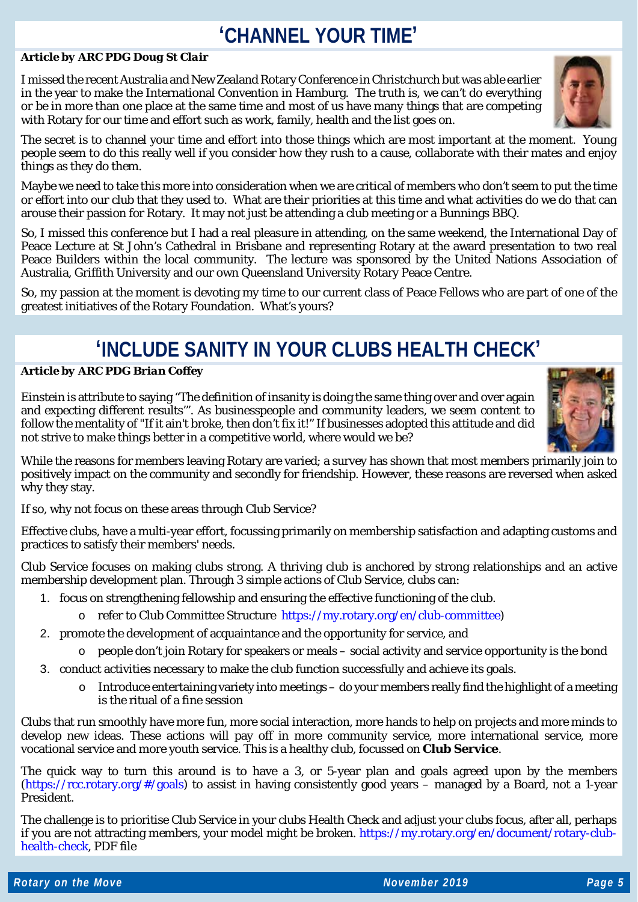### **'CHANNEL YOUR TIME'**

#### *Article by ARC PDG Doug St Clair*

I missed the recent Australia and New Zealand Rotary Conference in Christchurch but was able earlier in the year to make the International Convention in Hamburg. The truth is, we can't do everything or be in more than one place at the same time and most of us have many things that are competing with Rotary for our time and effort such as work, family, health and the list goes on.

The secret is to channel your time and effort into those things which are most important at the moment. Young people seem to do this really well if you consider how they rush to a cause, collaborate with their mates and enjoy things as they do them.

Maybe we need to take this more into consideration when we are critical of members who don't seem to put the time or effort into our club that they used to. What are their priorities at this time and what activities do we do that can arouse their passion for Rotary. It may not just be attending a club meeting or a Bunnings BBQ.

So, I missed this conference but I had a real pleasure in attending, on the same weekend, the International Day of Peace Lecture at St John's Cathedral in Brisbane and representing Rotary at the award presentation to two real Peace Builders within the local community. The lecture was sponsored by the United Nations Association of Australia, Griffith University and our own Queensland University Rotary Peace Centre.

So, my passion at the moment is devoting my time to our current class of Peace Fellows who are part of one of the greatest initiatives of the Rotary Foundation. What's yours?

### **'INCLUDE SANITY IN YOUR CLUBS HEALTH CHECK'**

#### *Article by ARC PDG Brian Coffey*

Einstein is attribute to saying "The definition of insanity is doing the same thing over and over again and expecting different results'". As businesspeople and community leaders, we seem content to follow the mentality of "If it ain't broke, then don't fix it!" If businesses adopted this attitude and did not strive to make things better in a competitive world, where would we be?

While the reasons for members leaving Rotary are varied; a survey has shown that most members primarily join to positively impact on the community and secondly for friendship. However, these reasons are reversed when asked why they stay.

If so, why not focus on these areas through Club Service?

Effective clubs, have a multi-year effort, focussing primarily on membership satisfaction and adapting customs and practices to satisfy their members' needs.

Club Service focuses on making clubs strong. A thriving club is anchored by strong relationships and an active membership development plan. Through 3 simple actions of Club Service, clubs can:

- 1. focus on strengthening fellowship and ensuring the effective functioning of the club.
	- o refer to Club Committee Structure [https://my.rotary.org/en/club-committee\)](https://my.rotary.org/en/club-committee)
- 2. promote the development of acquaintance and the opportunity for service, and
	- o people don't join Rotary for speakers or meals social activity and service opportunity is the bond
- 3. conduct activities necessary to make the club function successfully and achieve its goals.
	- $\circ$  Introduce entertaining variety into meetings do your members really find the highlight of a meeting is the ritual of a fine session

Clubs that run smoothly have more fun, more social interaction, more hands to help on projects and more minds to develop new ideas. These actions will pay off in more community service, more international service, more vocational service and more youth service. This is a healthy club, focussed on **Club Service**.

The quick way to turn this around is to have a 3, or 5-year plan and goals agreed upon by the members [\(https://rcc.rotary.org/#/goals\)](https://rcc.rotary.org/#/goals) to assist in having consistently good years – managed by a Board, not a 1-year President.

The challenge is to prioritise Club Service in your clubs Health Check and adjust your clubs focus, after all, perhaps if you are not attracting members, your model might be broken. [https://my.rotary.org/en/document/rotary-club](https://my.rotary.org/en/document/rotary-club-health-check)[health-check,](https://my.rotary.org/en/document/rotary-club-health-check) PDF file





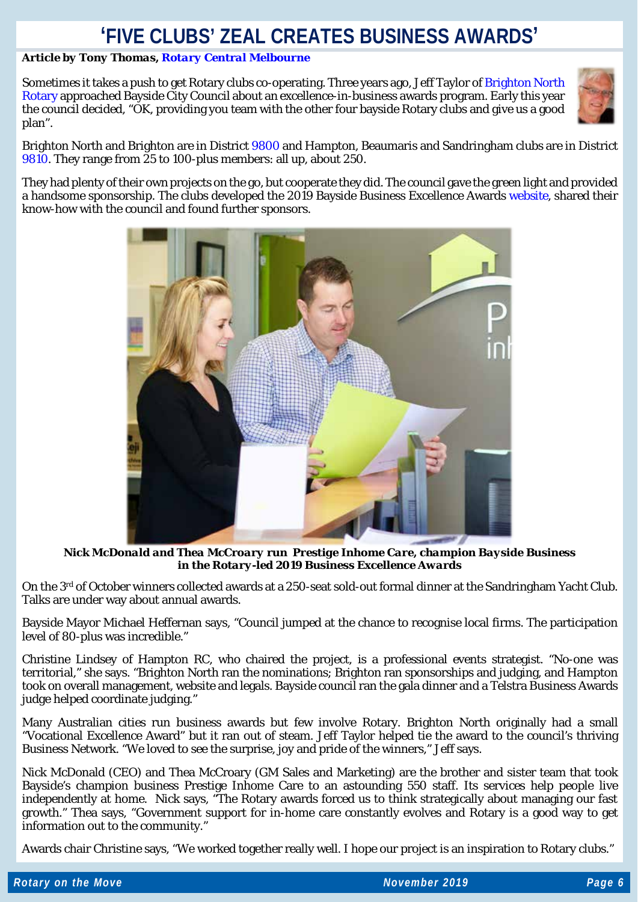### **'FIVE CLUBS' ZEAL CREATES BUSINESS AWARDS'**

### *Article by Tony Thomas, [Rotary Central Melbourne](https://www.rotaryclubcentralmelbourne.org.au/)*

Sometimes it takes a push to get Rotary clubs co-operating. Three years ago, Jeff Taylor of Brighton North [Rotary](http://northbrightonrotary.org.au/) approached Bayside City Council about an excellence-in-business awards program. Early this year the council decided, "OK, providing you team with the other four bayside Rotary clubs and give us a good plan".



Brighton North and Brighton are in Distric[t 9800](https://rotarydistrict9800.org.au/) and Hampton, Beaumaris and Sandringham clubs are in District [9810.](https://www.9810rotary.org.au/) They range from 25 to 100-plus members: all up, about 250.

They had plenty of their own projects on the go, but cooperate they did. The council gave the green light and provided a handsome sponsorship. The clubs developed the 2019 Bayside Business Excellence Awards [website,](https://baysidebusinessawards.com.au/) shared their know-how with the council and found further sponsors.



*Nick McDonald and Thea McCroary run Prestige Inhome Care, champion Bayside Business in the Rotary-led 2019 Business Excellence Awards*

On the 3rd of October winners collected awards at a 250-seat sold-out formal dinner at the Sandringham Yacht Club. Talks are under way about annual awards.

Bayside Mayor Michael Heffernan says, "Council jumped at the chance to recognise local firms. The participation level of 80-plus was incredible."

Christine Lindsey of Hampton RC, who chaired the project, is a professional events strategist. "No-one was territorial," she says. "Brighton North ran the nominations; Brighton ran sponsorships and judging, and Hampton took on overall management, website and legals. Bayside council ran the gala dinner and a Telstra Business Awards judge helped coordinate judging."

Many Australian cities run business awards but few involve Rotary. Brighton North originally had a small "Vocational Excellence Award" but it ran out of steam. Jeff Taylor helped tie the award to the council's thriving Business Network. "We loved to see the surprise, joy and pride of the winners," Jeff says.

Nick McDonald (CEO) and Thea McCroary (GM Sales and Marketing) are the brother and sister team that took Bayside's champion business Prestige Inhome Care to an astounding 550 staff. Its services help people live independently at home. Nick says, "The Rotary awards forced us to think strategically about managing our fast growth." Thea says, "Government support for in-home care constantly evolves and Rotary is a good way to get information out to the community."

Awards chair Christine says, "We worked together really well. I hope our project is an inspiration to Rotary clubs."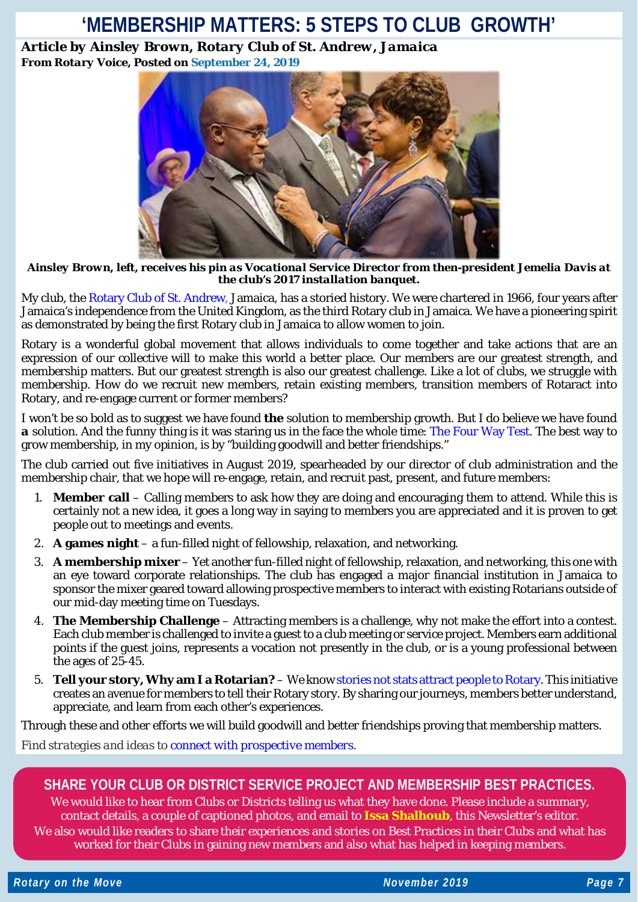### **'MEMBERSHIP MATTERS: 5 STEPS TO CLUB GROWTH'**

*Article by Ainsley Brown, Rotary Club of St. Andrew, Jamaica From Rotary Voice, Posted on [September](https://blog.rotary.org/2019/09/24/membership-matters-5-steps-to-club-growth/) 24, 2019*



*Ainsley Brown, left, receives his pin as Vocational Service Director from then-president Jemelia Davis at the club's 2017 installation banquet.*

My club, the Rotary Club of St. [Andrew,](https://www.rotaryclubofstandrew.org/) Jamaica, has a storied history. We were chartered in 1966, four years after Jamaica's independence from the United Kingdom, as the third Rotary club in Jamaica. We have a pioneering spirit as demonstrated by being the first Rotary club in Jamaica to allow women to join.

Rotary is a wonderful global movement that allows individuals to come together and take actions that are an expression of our collective will to make this world a better place. Our members are our greatest strength, and membership matters. But our greatest strength is also our greatest challenge. Like a lot of clubs, we struggle with membership. How do we recruit new members, retain existing members, transition members of Rotaract into Rotary, and re-engage current or former members?

I won't be so bold as to suggest we have found *the* solution to membership growth. But I do believe we have found *a* solution. And the funny thing is it was staring us in the face the whole time: The [Four](https://my.rotary.org/en/guiding-principles) Way Test. The best way to grow membership, in my opinion, is by "building goodwill and better friendships."

The club carried out five initiatives in August 2019, spearheaded by our director of club administration and the membership chair, that we hope will re-engage, retain, and recruit past, present, and future members:

- 1. **Member call** Calling members to ask how they are doing and encouraging them to attend. While this is certainly not a new idea, it goes a long way in saying to members you are appreciated and it is proven to get people out to meetings and events.
- 2. **A games night** a fun-filled night of fellowship, relaxation, and networking.
- 3. **A [membership](https://www.instagram.com/p/B1hkgYDA3lw/?utm_source=ig_web_copy_link) mixer** Yet another fun-filled night of fellowship, relaxation, and networking, this one with an eye toward corporate relationships. The club has engaged a major financial institution in Jamaica to sponsor the mixer geared toward allowing prospective members to interact with existing Rotarians outside of our mid-day meeting time on Tuesdays.
- 4. **The [Membership](https://www.instagram.com/p/B04ICuGgtKV/?utm_source=ig_web_copy_link) Challenge** Attracting members is a challenge, why not make the effort into a contest. Each club member is challenged to invite a guest to a club meeting or service project. Members earn additional points if the guest joins, represents a vocation not presently in the club, or is a young professional between the ages of 25-45.
- 5. **Tell your story,Why am I a Rotarian?** We know stories not stats attract people to [Rotary.](https://blog.rotary.org/2019/05/29/stories-not-stats-attract-people-to-rotary/) This initiative creates an avenue for members to tell their Rotary story. By sharing our journeys, members better understand, appreciate, and learn from each other's experiences.

Through these and other efforts we will build goodwill and better friendships proving that membership matters.

*Find strategies and ideas to connect with [prospective](https://my.rotary.org/en/learning-reference/learn-topic/membership#connect) members.*

### **SHARE YOUR CLUB OR DISTRICT SERVICE PROJECT AND MEMBERSHIP BEST PRACTICES.**

We would like to hear from Clubs or Districts telling us what they have done. Please include a summary, contact details, a couple of captioned photos, and email to **[Issa Shalhoub](mailto:drissa@bigpond.com)**, this Newsletter's editor*.* We also would like readers to share their experiences and stories on Best Practices in their Clubs and what has worked for their Clubs in gaining new members and also what has helped in keeping members.